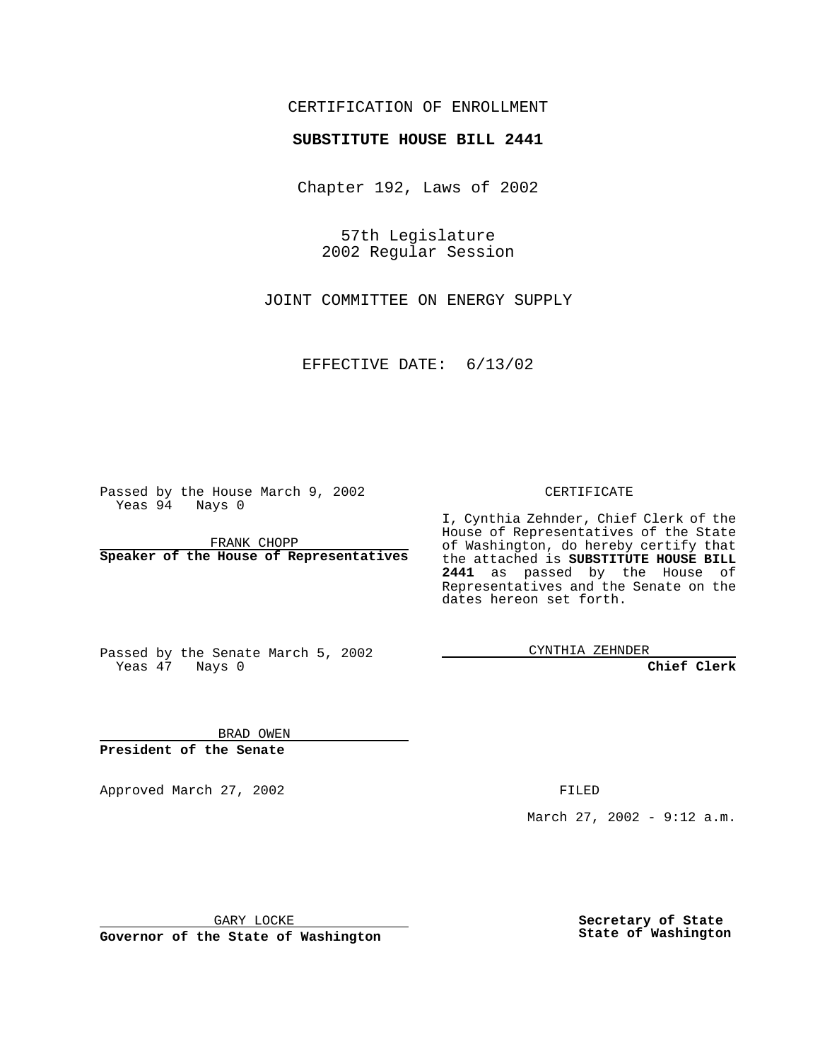## CERTIFICATION OF ENROLLMENT

# **SUBSTITUTE HOUSE BILL 2441**

Chapter 192, Laws of 2002

57th Legislature 2002 Regular Session

JOINT COMMITTEE ON ENERGY SUPPLY

EFFECTIVE DATE: 6/13/02

Passed by the House March 9, 2002 Yeas 94 Nays 0

FRANK CHOPP **Speaker of the House of Representatives** CERTIFICATE

I, Cynthia Zehnder, Chief Clerk of the House of Representatives of the State of Washington, do hereby certify that the attached is **SUBSTITUTE HOUSE BILL 2441** as passed by the House of Representatives and the Senate on the dates hereon set forth.

Passed by the Senate March 5, 2002 Yeas 47 Nays 0

CYNTHIA ZEHNDER

**Chief Clerk**

BRAD OWEN **President of the Senate**

Approved March 27, 2002 **FILED** 

March 27, 2002 - 9:12 a.m.

GARY LOCKE

**Governor of the State of Washington**

**Secretary of State State of Washington**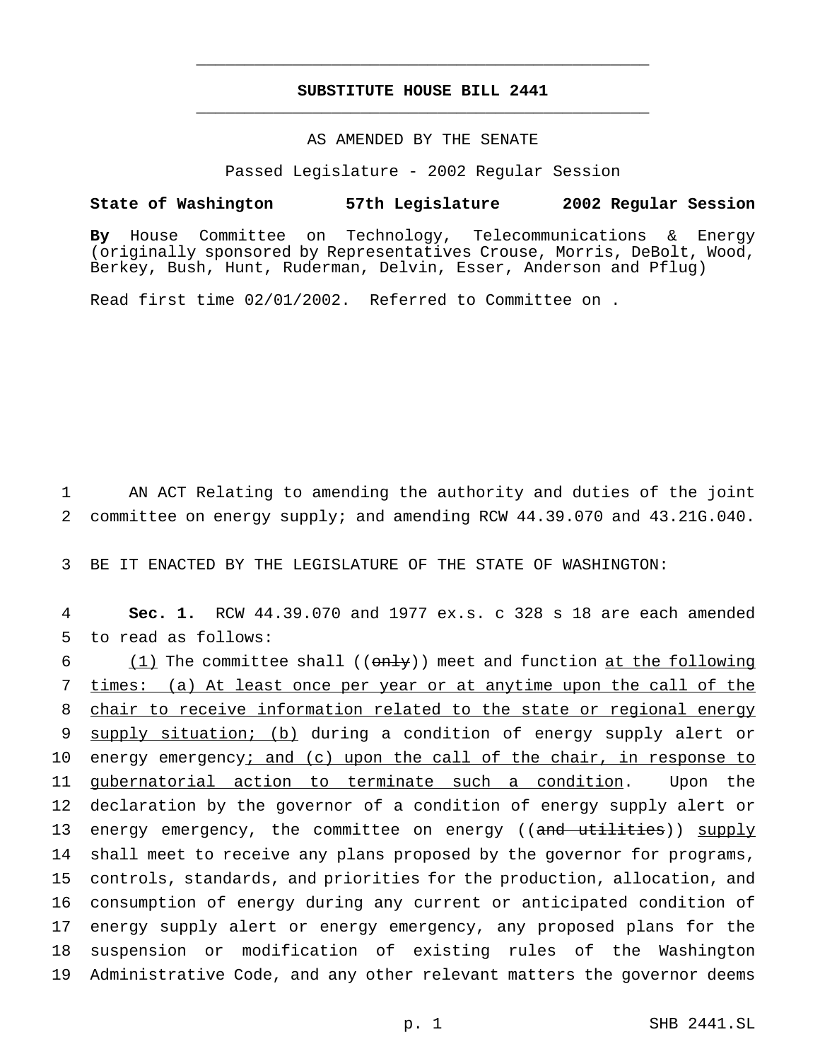## **SUBSTITUTE HOUSE BILL 2441** \_\_\_\_\_\_\_\_\_\_\_\_\_\_\_\_\_\_\_\_\_\_\_\_\_\_\_\_\_\_\_\_\_\_\_\_\_\_\_\_\_\_\_\_\_\_\_

\_\_\_\_\_\_\_\_\_\_\_\_\_\_\_\_\_\_\_\_\_\_\_\_\_\_\_\_\_\_\_\_\_\_\_\_\_\_\_\_\_\_\_\_\_\_\_

#### AS AMENDED BY THE SENATE

Passed Legislature - 2002 Regular Session

#### **State of Washington 57th Legislature 2002 Regular Session**

**By** House Committee on Technology, Telecommunications & Energy (originally sponsored by Representatives Crouse, Morris, DeBolt, Wood, Berkey, Bush, Hunt, Ruderman, Delvin, Esser, Anderson and Pflug)

Read first time 02/01/2002. Referred to Committee on .

1 AN ACT Relating to amending the authority and duties of the joint 2 committee on energy supply; and amending RCW 44.39.070 and 43.21G.040.

3 BE IT ENACTED BY THE LEGISLATURE OF THE STATE OF WASHINGTON:

4 **Sec. 1.** RCW 44.39.070 and 1977 ex.s. c 328 s 18 are each amended 5 to read as follows:

 $(1)$  The committee shall  $((on+y))$  meet and function at the following times: (a) At least once per year or at anytime upon the call of the chair to receive information related to the state or regional energy supply situation; (b) during a condition of energy supply alert or 10 energy emergency; and (c) upon the call of the chair, in response to 11 gubernatorial action to terminate such a condition. Upon the declaration by the governor of a condition of energy supply alert or 13 energy emergency, the committee on energy ((and utilities)) supply shall meet to receive any plans proposed by the governor for programs, controls, standards, and priorities for the production, allocation, and consumption of energy during any current or anticipated condition of energy supply alert or energy emergency, any proposed plans for the suspension or modification of existing rules of the Washington Administrative Code, and any other relevant matters the governor deems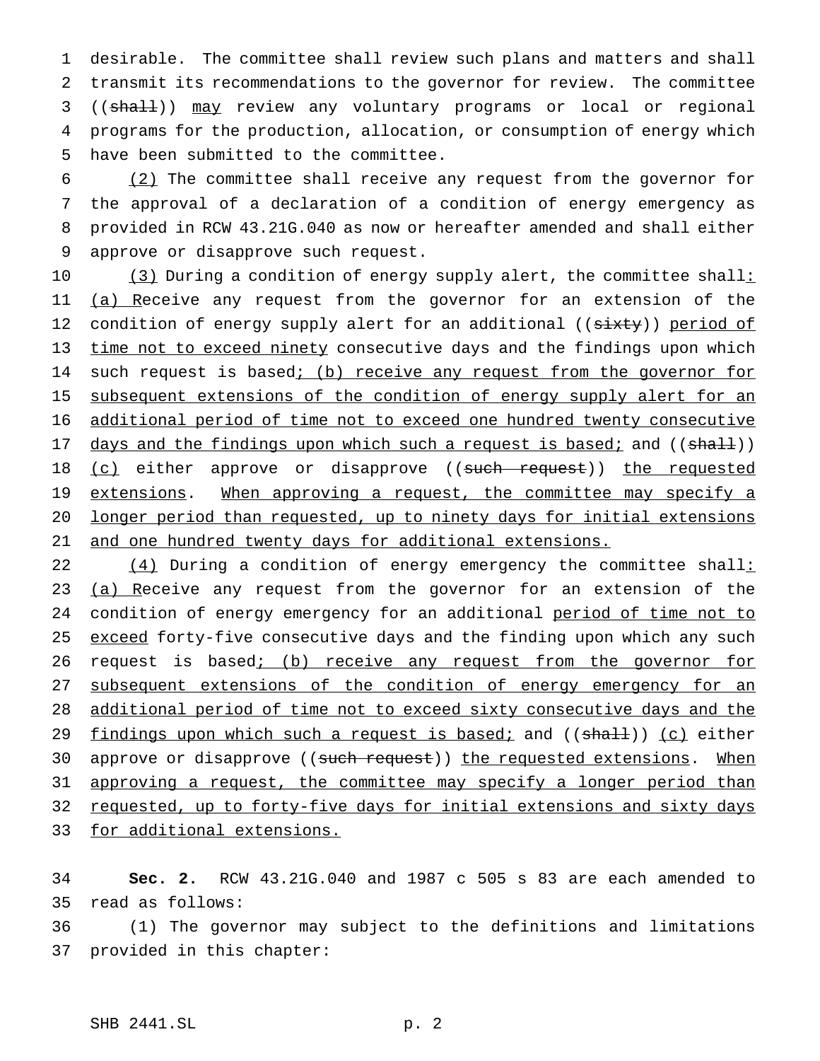desirable. The committee shall review such plans and matters and shall transmit its recommendations to the governor for review. The committee ((shall)) may review any voluntary programs or local or regional programs for the production, allocation, or consumption of energy which have been submitted to the committee.

 (2) The committee shall receive any request from the governor for the approval of a declaration of a condition of energy emergency as provided in RCW 43.21G.040 as now or hereafter amended and shall either approve or disapprove such request.

10 (3) During a condition of energy supply alert, the committee shall: 11 (a) Receive any request from the governor for an extension of the 12 condition of energy supply alert for an additional ((sixty)) period of 13 time not to exceed ninety consecutive days and the findings upon which 14 such request is based; (b) receive any request from the governor for 15 subsequent extensions of the condition of energy supply alert for an 16 additional period of time not to exceed one hundred twenty consecutive 17 days and the findings upon which such a request is based; and ((shall)) 18 (c) either approve or disapprove ((such request)) the requested 19 extensions. When approving a request, the committee may specify a 20 longer period than requested, up to ninety days for initial extensions 21 and one hundred twenty days for additional extensions.

22  $(4)$  During a condition of energy emergency the committee shall: 23 (a) Receive any request from the governor for an extension of the 24 condition of energy emergency for an additional period of time not to 25 exceed forty-five consecutive days and the finding upon which any such 26 request is based; (b) receive any request from the governor for 27 subsequent extensions of the condition of energy emergency for an 28 additional period of time not to exceed sixty consecutive days and the 29 findings upon which such a request is based; and ((shall)) (c) either 30 approve or disapprove ((such request)) the requested extensions. When 31 approving a request, the committee may specify a longer period than 32 requested, up to forty-five days for initial extensions and sixty days 33 for additional extensions.

34 **Sec. 2.** RCW 43.21G.040 and 1987 c 505 s 83 are each amended to 35 read as follows:

36 (1) The governor may subject to the definitions and limitations 37 provided in this chapter: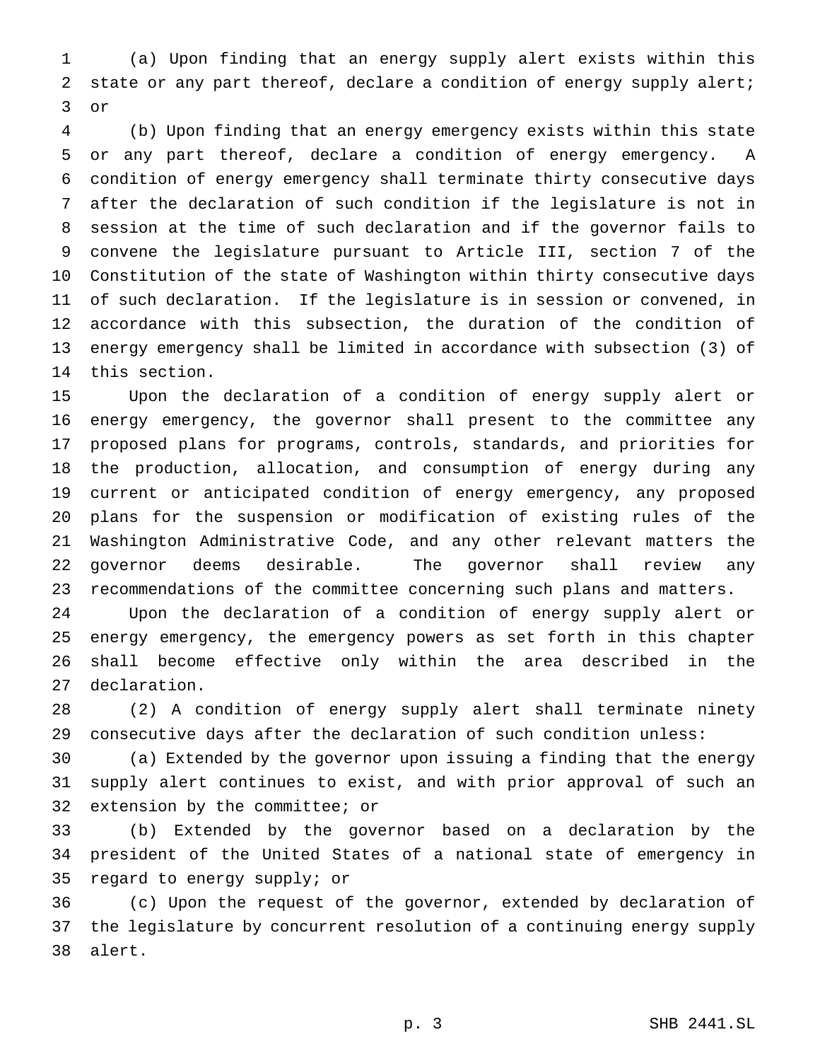(a) Upon finding that an energy supply alert exists within this state or any part thereof, declare a condition of energy supply alert; or

 (b) Upon finding that an energy emergency exists within this state or any part thereof, declare a condition of energy emergency. A condition of energy emergency shall terminate thirty consecutive days after the declaration of such condition if the legislature is not in session at the time of such declaration and if the governor fails to convene the legislature pursuant to Article III, section 7 of the Constitution of the state of Washington within thirty consecutive days of such declaration. If the legislature is in session or convened, in accordance with this subsection, the duration of the condition of energy emergency shall be limited in accordance with subsection (3) of this section.

 Upon the declaration of a condition of energy supply alert or energy emergency, the governor shall present to the committee any proposed plans for programs, controls, standards, and priorities for the production, allocation, and consumption of energy during any current or anticipated condition of energy emergency, any proposed plans for the suspension or modification of existing rules of the Washington Administrative Code, and any other relevant matters the governor deems desirable. The governor shall review any recommendations of the committee concerning such plans and matters.

 Upon the declaration of a condition of energy supply alert or energy emergency, the emergency powers as set forth in this chapter shall become effective only within the area described in the declaration.

 (2) A condition of energy supply alert shall terminate ninety consecutive days after the declaration of such condition unless:

 (a) Extended by the governor upon issuing a finding that the energy supply alert continues to exist, and with prior approval of such an extension by the committee; or

 (b) Extended by the governor based on a declaration by the president of the United States of a national state of emergency in regard to energy supply; or

 (c) Upon the request of the governor, extended by declaration of the legislature by concurrent resolution of a continuing energy supply alert.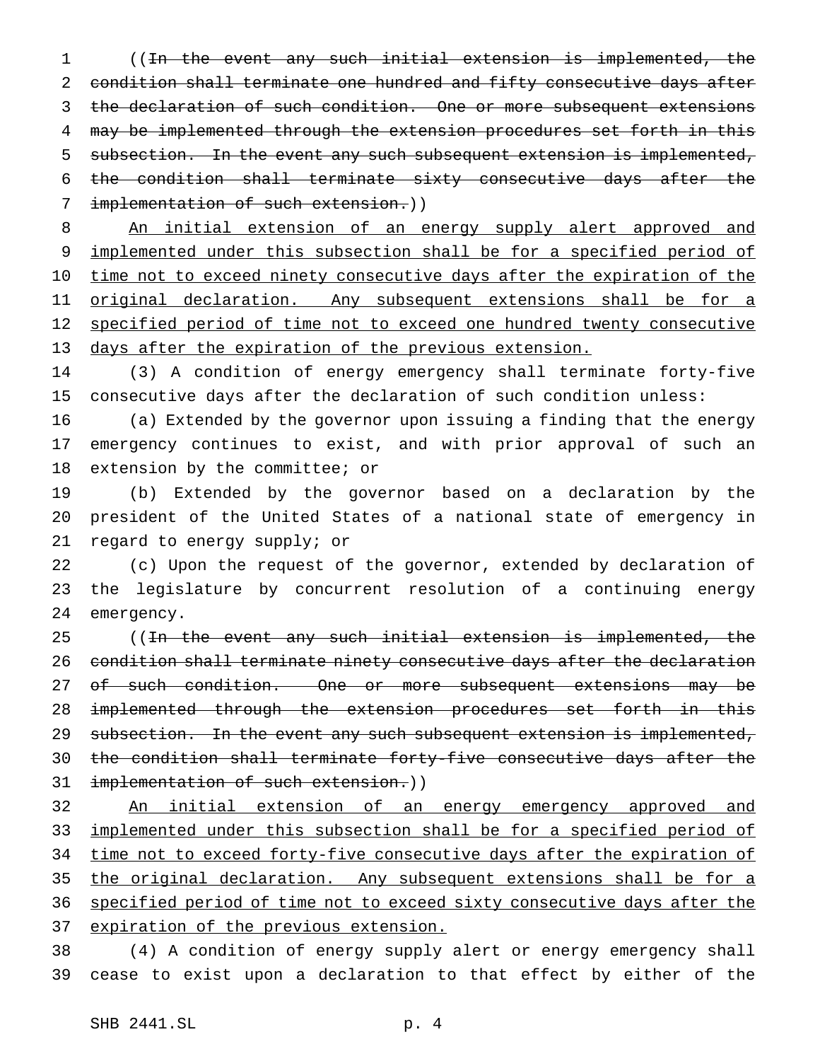((In the event any such initial extension is implemented, the condition shall terminate one hundred and fifty consecutive days after the declaration of such condition. One or more subsequent extensions 4 may be implemented through the extension procedures set forth in this 5 subsection. In the event any such subsequent extension is implemented, the condition shall terminate sixty consecutive days after the 7 implementation of such extension.))

 An initial extension of an energy supply alert approved and implemented under this subsection shall be for a specified period of 10 time not to exceed ninety consecutive days after the expiration of the original declaration. Any subsequent extensions shall be for a specified period of time not to exceed one hundred twenty consecutive days after the expiration of the previous extension.

 (3) A condition of energy emergency shall terminate forty-five consecutive days after the declaration of such condition unless:

 (a) Extended by the governor upon issuing a finding that the energy emergency continues to exist, and with prior approval of such an extension by the committee; or

 (b) Extended by the governor based on a declaration by the president of the United States of a national state of emergency in regard to energy supply; or

 (c) Upon the request of the governor, extended by declaration of the legislature by concurrent resolution of a continuing energy emergency.

25 ((<del>In the event any such initial extension is implemented, the</del> condition shall terminate ninety consecutive days after the declaration 27 of such condition. One or more subsequent extensions may be implemented through the extension procedures set forth in this 29 subsection. In the event any such subsequent extension is implemented, 30 the condition shall terminate forty-five consecutive days after the 31 implementation of such extension.))

 An initial extension of an energy emergency approved and implemented under this subsection shall be for a specified period of 34 time not to exceed forty-five consecutive days after the expiration of the original declaration. Any subsequent extensions shall be for a specified period of time not to exceed sixty consecutive days after the 37 expiration of the previous extension.

 (4) A condition of energy supply alert or energy emergency shall cease to exist upon a declaration to that effect by either of the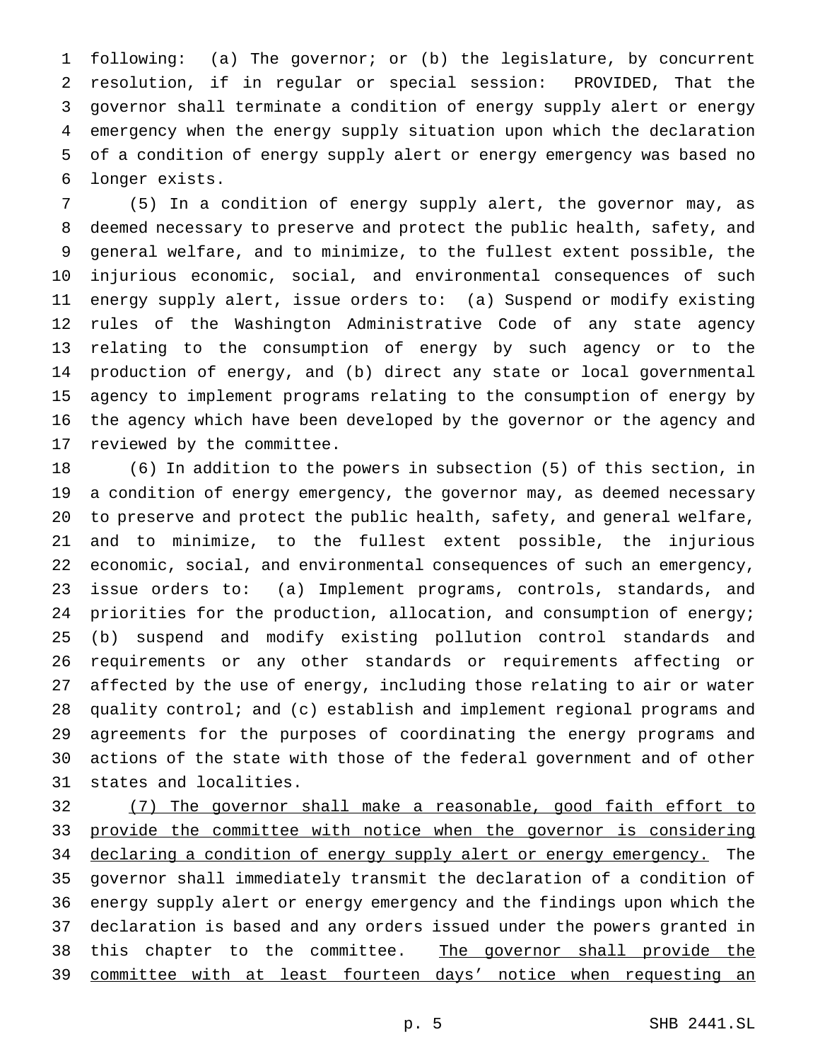following: (a) The governor; or (b) the legislature, by concurrent resolution, if in regular or special session: PROVIDED, That the governor shall terminate a condition of energy supply alert or energy emergency when the energy supply situation upon which the declaration of a condition of energy supply alert or energy emergency was based no longer exists.

 (5) In a condition of energy supply alert, the governor may, as deemed necessary to preserve and protect the public health, safety, and general welfare, and to minimize, to the fullest extent possible, the injurious economic, social, and environmental consequences of such energy supply alert, issue orders to: (a) Suspend or modify existing rules of the Washington Administrative Code of any state agency relating to the consumption of energy by such agency or to the production of energy, and (b) direct any state or local governmental agency to implement programs relating to the consumption of energy by the agency which have been developed by the governor or the agency and reviewed by the committee.

 (6) In addition to the powers in subsection (5) of this section, in a condition of energy emergency, the governor may, as deemed necessary to preserve and protect the public health, safety, and general welfare, and to minimize, to the fullest extent possible, the injurious economic, social, and environmental consequences of such an emergency, issue orders to: (a) Implement programs, controls, standards, and priorities for the production, allocation, and consumption of energy; (b) suspend and modify existing pollution control standards and requirements or any other standards or requirements affecting or affected by the use of energy, including those relating to air or water quality control; and (c) establish and implement regional programs and agreements for the purposes of coordinating the energy programs and actions of the state with those of the federal government and of other states and localities.

 (7) The governor shall make a reasonable, good faith effort to 33 provide the committee with notice when the governor is considering 34 declaring a condition of energy supply alert or energy emergency. The governor shall immediately transmit the declaration of a condition of energy supply alert or energy emergency and the findings upon which the declaration is based and any orders issued under the powers granted in 38 this chapter to the committee. The governor shall provide the 39 committee with at least fourteen days' notice when requesting an